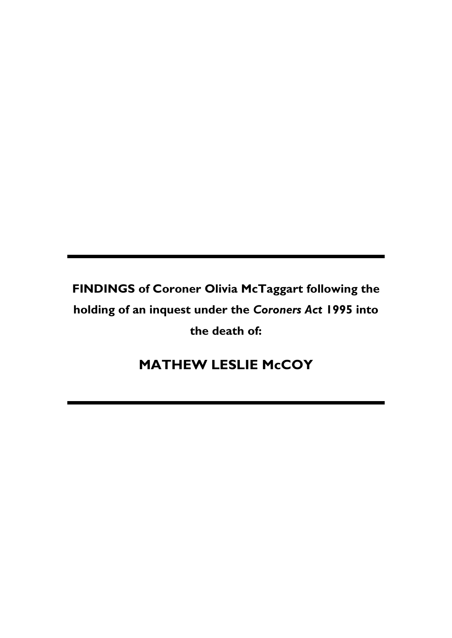**FINDINGS of Coroner Olivia McTaggart following the holding of an inquest under the** *Coroners Act* **1995 into the death of:**

# **MATHEW LESLIE McCOY**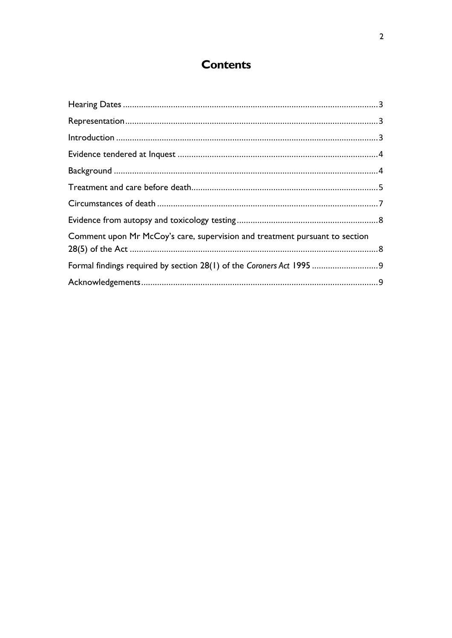## **Contents**

| Comment upon Mr McCoy's care, supervision and treatment pursuant to section |  |
|-----------------------------------------------------------------------------|--|
| Formal findings required by section 28(1) of the Coroners Act 1995  9       |  |
|                                                                             |  |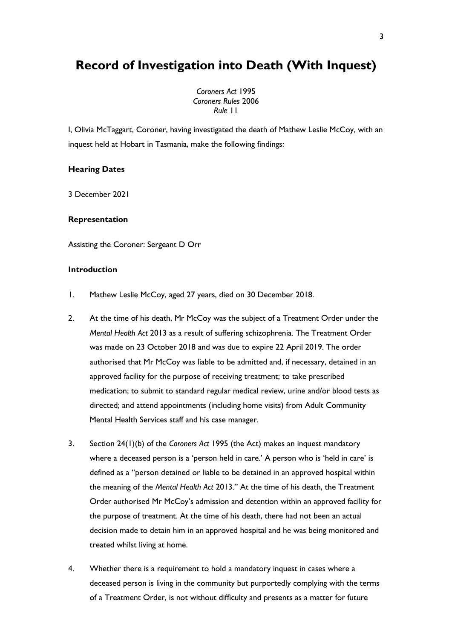### **Record of Investigation into Death (With Inquest)**

*Coroners Act* 1995 *Coroners Rules* 2006 *Rule* 11

I, Olivia McTaggart, Coroner, having investigated the death of Mathew Leslie McCoy, with an inquest held at Hobart in Tasmania, make the following findings:

#### <span id="page-2-0"></span>**Hearing Dates**

3 December 2021

#### <span id="page-2-1"></span>**Representation**

Assisting the Coroner: Sergeant D Orr

#### <span id="page-2-2"></span>**Introduction**

- 1. Mathew Leslie McCoy, aged 27 years, died on 30 December 2018.
- 2. At the time of his death, Mr McCoy was the subject of a Treatment Order under the *Mental Health Act* 2013 as a result of suffering schizophrenia. The Treatment Order was made on 23 October 2018 and was due to expire 22 April 2019. The order authorised that Mr McCoy was liable to be admitted and, if necessary, detained in an approved facility for the purpose of receiving treatment; to take prescribed medication; to submit to standard regular medical review, urine and/or blood tests as directed; and attend appointments (including home visits) from Adult Community Mental Health Services staff and his case manager.
- 3. Section 24(1)(b) of the *Coroners Act* 1995 (the Act) makes an inquest mandatory where a deceased person is a 'person held in care.' A person who is 'held in care' is defined as a "person detained or liable to be detained in an approved hospital within the meaning of the *Mental Health Act* 2013." At the time of his death, the Treatment Order authorised Mr McCoy's admission and detention within an approved facility for the purpose of treatment. At the time of his death, there had not been an actual decision made to detain him in an approved hospital and he was being monitored and treated whilst living at home.
- 4. Whether there is a requirement to hold a mandatory inquest in cases where a deceased person is living in the community but purportedly complying with the terms of a Treatment Order, is not without difficulty and presents as a matter for future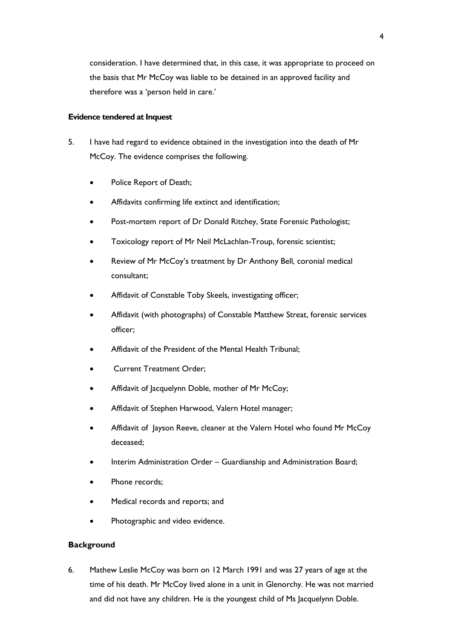consideration. I have determined that, in this case, it was appropriate to proceed on the basis that Mr McCoy was liable to be detained in an approved facility and therefore was a 'person held in care.'

#### <span id="page-3-0"></span>**Evidence tendered at Inquest**

- 5. I have had regard to evidence obtained in the investigation into the death of Mr McCoy. The evidence comprises the following.
	- Police Report of Death;
	- Affidavits confirming life extinct and identification;
	- Post-mortem report of Dr Donald Ritchey, State Forensic Pathologist;
	- Toxicology report of Mr Neil McLachlan-Troup, forensic scientist;
	- Review of Mr McCoy's treatment by Dr Anthony Bell, coronial medical consultant;
	- Affidavit of Constable Toby Skeels, investigating officer;
	- Affidavit (with photographs) of Constable Matthew Streat, forensic services officer;
	- Affidavit of the President of the Mental Health Tribunal;
	- Current Treatment Order;
	- Affidavit of Jacquelynn Doble, mother of Mr McCoy;
	- Affidavit of Stephen Harwood, Valern Hotel manager;
	- Affidavit of Jayson Reeve, cleaner at the Valern Hotel who found Mr McCoy deceased;
	- Interim Administration Order Guardianship and Administration Board;
	- Phone records;
	- Medical records and reports; and
	- Photographic and video evidence.

#### <span id="page-3-1"></span>**Background**

6. Mathew Leslie McCoy was born on 12 March 1991 and was 27 years of age at the time of his death. Mr McCoy lived alone in a unit in Glenorchy. He was not married and did not have any children. He is the youngest child of Ms Jacquelynn Doble.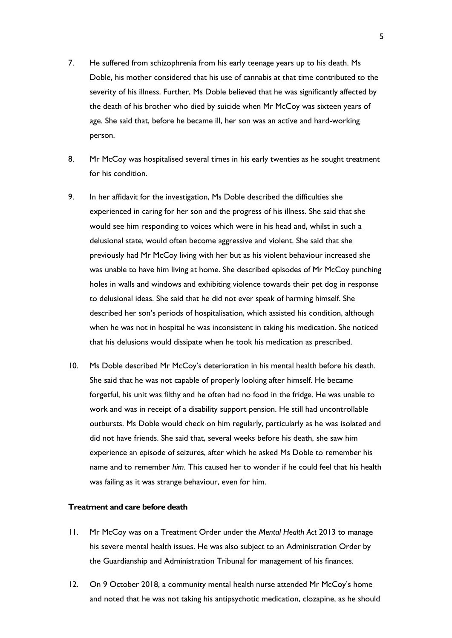- 7. He suffered from schizophrenia from his early teenage years up to his death. Ms Doble, his mother considered that his use of cannabis at that time contributed to the severity of his illness. Further, Ms Doble believed that he was significantly affected by the death of his brother who died by suicide when Mr McCoy was sixteen years of age. She said that, before he became ill, her son was an active and hard-working person.
- 8. Mr McCoy was hospitalised several times in his early twenties as he sought treatment for his condition.
- 9. In her affidavit for the investigation, Ms Doble described the difficulties she experienced in caring for her son and the progress of his illness. She said that she would see him responding to voices which were in his head and, whilst in such a delusional state, would often become aggressive and violent. She said that she previously had Mr McCoy living with her but as his violent behaviour increased she was unable to have him living at home. She described episodes of Mr McCoy punching holes in walls and windows and exhibiting violence towards their pet dog in response to delusional ideas. She said that he did not ever speak of harming himself. She described her son's periods of hospitalisation, which assisted his condition, although when he was not in hospital he was inconsistent in taking his medication. She noticed that his delusions would dissipate when he took his medication as prescribed.
- 10. Ms Doble described Mr McCoy's deterioration in his mental health before his death. She said that he was not capable of properly looking after himself. He became forgetful, his unit was filthy and he often had no food in the fridge. He was unable to work and was in receipt of a disability support pension. He still had uncontrollable outbursts. Ms Doble would check on him regularly, particularly as he was isolated and did not have friends. She said that, several weeks before his death, she saw him experience an episode of seizures, after which he asked Ms Doble to remember his name and to remember *him*. This caused her to wonder if he could feel that his health was failing as it was strange behaviour, even for him.

#### <span id="page-4-0"></span>**Treatment and care before death**

- 11. Mr McCoy was on a Treatment Order under the *Mental Health Act* 2013 to manage his severe mental health issues. He was also subject to an Administration Order by the Guardianship and Administration Tribunal for management of his finances.
- 12. On 9 October 2018, a community mental health nurse attended Mr McCoy's home and noted that he was not taking his antipsychotic medication, clozapine, as he should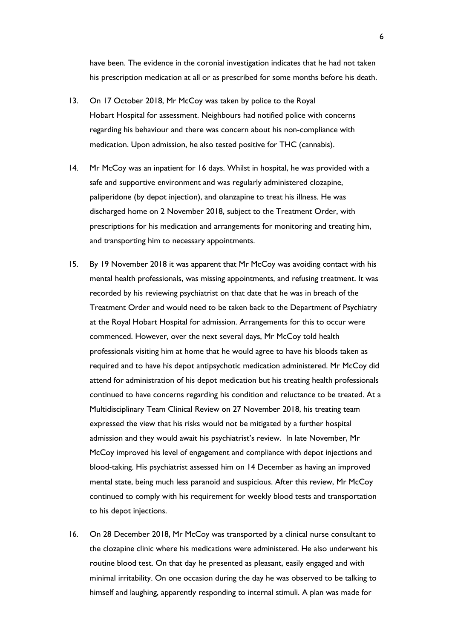have been. The evidence in the coronial investigation indicates that he had not taken his prescription medication at all or as prescribed for some months before his death.

- 13. On 17 October 2018, Mr McCoy was taken by police to the Royal Hobart Hospital for assessment. Neighbours had notified police with concerns regarding his behaviour and there was concern about his non-compliance with medication. Upon admission, he also tested positive for THC (cannabis).
- 14. Mr McCoy was an inpatient for 16 days. Whilst in hospital, he was provided with a safe and supportive environment and was regularly administered clozapine, paliperidone (by depot injection), and olanzapine to treat his illness. He was discharged home on 2 November 2018, subject to the Treatment Order, with prescriptions for his medication and arrangements for monitoring and treating him, and transporting him to necessary appointments.
- 15. By 19 November 2018 it was apparent that Mr McCoy was avoiding contact with his mental health professionals, was missing appointments, and refusing treatment. It was recorded by his reviewing psychiatrist on that date that he was in breach of the Treatment Order and would need to be taken back to the Department of Psychiatry at the Royal Hobart Hospital for admission. Arrangements for this to occur were commenced. However, over the next several days, Mr McCoy told health professionals visiting him at home that he would agree to have his bloods taken as required and to have his depot antipsychotic medication administered. Mr McCoy did attend for administration of his depot medication but his treating health professionals continued to have concerns regarding his condition and reluctance to be treated. At a Multidisciplinary Team Clinical Review on 27 November 2018, his treating team expressed the view that his risks would not be mitigated by a further hospital admission and they would await his psychiatrist's review. In late November, Mr McCoy improved his level of engagement and compliance with depot injections and blood-taking. His psychiatrist assessed him on 14 December as having an improved mental state, being much less paranoid and suspicious. After this review, Mr McCoy continued to comply with his requirement for weekly blood tests and transportation to his depot injections.
- 16. On 28 December 2018, Mr McCoy was transported by a clinical nurse consultant to the clozapine clinic where his medications were administered. He also underwent his routine blood test. On that day he presented as pleasant, easily engaged and with minimal irritability. On one occasion during the day he was observed to be talking to himself and laughing, apparently responding to internal stimuli. A plan was made for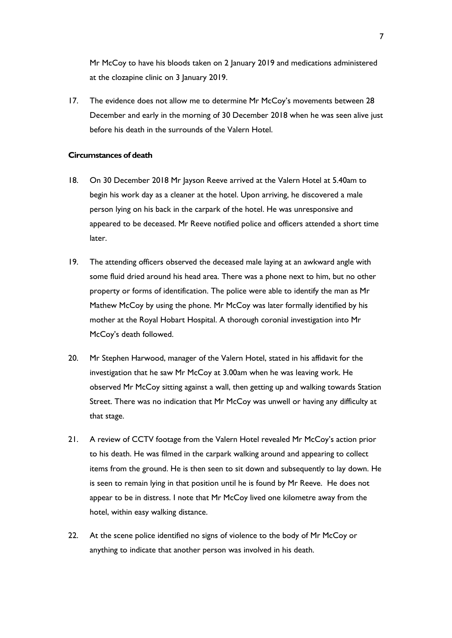Mr McCoy to have his bloods taken on 2 January 2019 and medications administered at the clozapine clinic on 3 January 2019.

17. The evidence does not allow me to determine Mr McCoy's movements between 28 December and early in the morning of 30 December 2018 when he was seen alive just before his death in the surrounds of the Valern Hotel.

#### <span id="page-6-0"></span>**Circumstances of death**

- 18. On 30 December 2018 Mr Jayson Reeve arrived at the Valern Hotel at 5.40am to begin his work day as a cleaner at the hotel. Upon arriving, he discovered a male person lying on his back in the carpark of the hotel. He was unresponsive and appeared to be deceased. Mr Reeve notified police and officers attended a short time later.
- 19. The attending officers observed the deceased male laying at an awkward angle with some fluid dried around his head area. There was a phone next to him, but no other property or forms of identification. The police were able to identify the man as Mr Mathew McCoy by using the phone. Mr McCoy was later formally identified by his mother at the Royal Hobart Hospital. A thorough coronial investigation into Mr McCoy's death followed.
- 20. Mr Stephen Harwood, manager of the Valern Hotel, stated in his affidavit for the investigation that he saw Mr McCoy at 3.00am when he was leaving work. He observed Mr McCoy sitting against a wall, then getting up and walking towards Station Street. There was no indication that Mr McCoy was unwell or having any difficulty at that stage.
- 21. A review of CCTV footage from the Valern Hotel revealed Mr McCoy's action prior to his death. He was filmed in the carpark walking around and appearing to collect items from the ground. He is then seen to sit down and subsequently to lay down. He is seen to remain lying in that position until he is found by Mr Reeve. He does not appear to be in distress. I note that Mr McCoy lived one kilometre away from the hotel, within easy walking distance.
- 22. At the scene police identified no signs of violence to the body of Mr McCoy or anything to indicate that another person was involved in his death.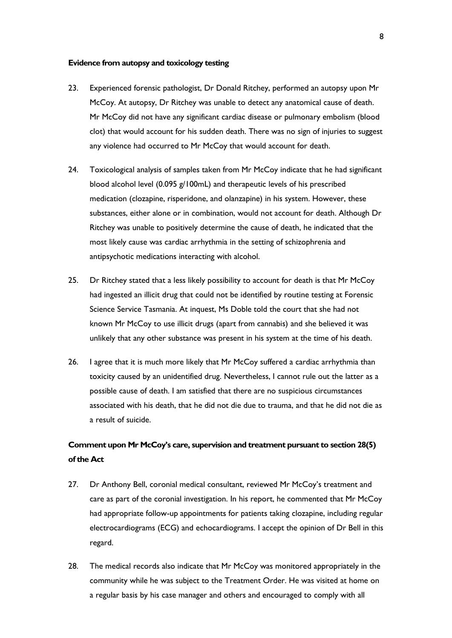#### <span id="page-7-0"></span>**Evidence from autopsy and toxicology testing**

- 23. Experienced forensic pathologist, Dr Donald Ritchey, performed an autopsy upon Mr McCoy. At autopsy, Dr Ritchey was unable to detect any anatomical cause of death. Mr McCoy did not have any significant cardiac disease or pulmonary embolism (blood clot) that would account for his sudden death. There was no sign of injuries to suggest any violence had occurred to Mr McCoy that would account for death.
- 24. Toxicological analysis of samples taken from Mr McCoy indicate that he had significant blood alcohol level (0.095 g/100mL) and therapeutic levels of his prescribed medication (clozapine, risperidone, and olanzapine) in his system. However, these substances, either alone or in combination, would not account for death. Although Dr Ritchey was unable to positively determine the cause of death, he indicated that the most likely cause was cardiac arrhythmia in the setting of schizophrenia and antipsychotic medications interacting with alcohol.
- 25. Dr Ritchey stated that a less likely possibility to account for death is that Mr McCoy had ingested an illicit drug that could not be identified by routine testing at Forensic Science Service Tasmania. At inquest, Ms Doble told the court that she had not known Mr McCoy to use illicit drugs (apart from cannabis) and she believed it was unlikely that any other substance was present in his system at the time of his death.
- 26. I agree that it is much more likely that Mr McCoy suffered a cardiac arrhythmia than toxicity caused by an unidentified drug. Nevertheless, I cannot rule out the latter as a possible cause of death. I am satisfied that there are no suspicious circumstances associated with his death, that he did not die due to trauma, and that he did not die as a result of suicide.

### <span id="page-7-1"></span>**Comment upon Mr McCoy's care, supervision and treatment pursuant to section 28(5) of the Act**

- 27. Dr Anthony Bell, coronial medical consultant, reviewed Mr McCoy's treatment and care as part of the coronial investigation. In his report, he commented that Mr McCoy had appropriate follow-up appointments for patients taking clozapine, including regular electrocardiograms (ECG) and echocardiograms. I accept the opinion of Dr Bell in this regard.
- 28. The medical records also indicate that Mr McCoy was monitored appropriately in the community while he was subject to the Treatment Order. He was visited at home on a regular basis by his case manager and others and encouraged to comply with all